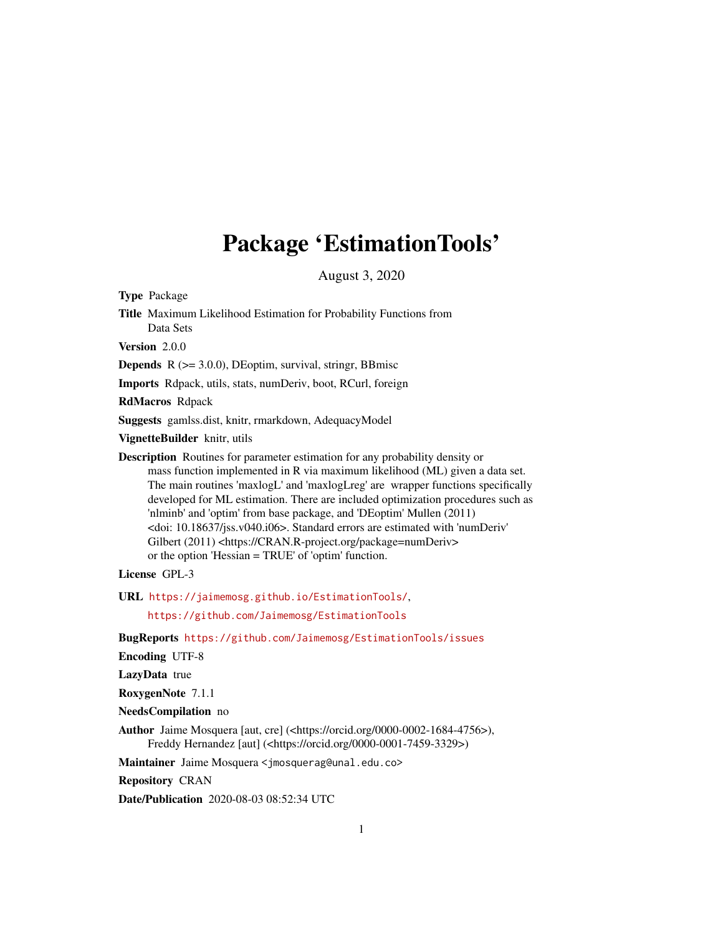## Package 'EstimationTools'

August 3, 2020

<span id="page-0-0"></span>Type Package

Title Maximum Likelihood Estimation for Probability Functions from Data Sets

Version 2.0.0

**Depends**  $R$  ( $>= 3.0.0$ ), DEoptim, survival, stringr, BBmisc

Imports Rdpack, utils, stats, numDeriv, boot, RCurl, foreign

RdMacros Rdpack

Suggests gamlss.dist, knitr, rmarkdown, AdequacyModel

VignetteBuilder knitr, utils

Description Routines for parameter estimation for any probability density or mass function implemented in R via maximum likelihood (ML) given a data set. The main routines 'maxlogL' and 'maxlogLreg' are wrapper functions specifically developed for ML estimation. There are included optimization procedures such as 'nlminb' and 'optim' from base package, and 'DEoptim' Mullen (2011) <doi: 10.18637/jss.v040.i06>. Standard errors are estimated with 'numDeriv' Gilbert (2011) <https://CRAN.R-project.org/package=numDeriv> or the option 'Hessian = TRUE' of 'optim' function.

License GPL-3

URL <https://jaimemosg.github.io/EstimationTools/>,

<https://github.com/Jaimemosg/EstimationTools>

BugReports <https://github.com/Jaimemosg/EstimationTools/issues>

Encoding UTF-8

LazyData true

RoxygenNote 7.1.1

NeedsCompilation no

Author Jaime Mosquera [aut, cre] (<https://orcid.org/0000-0002-1684-4756>), Freddy Hernandez [aut] (<https://orcid.org/0000-0001-7459-3329>)

Maintainer Jaime Mosquera <jmosquerag@unal.edu.co>

Repository CRAN

Date/Publication 2020-08-03 08:52:34 UTC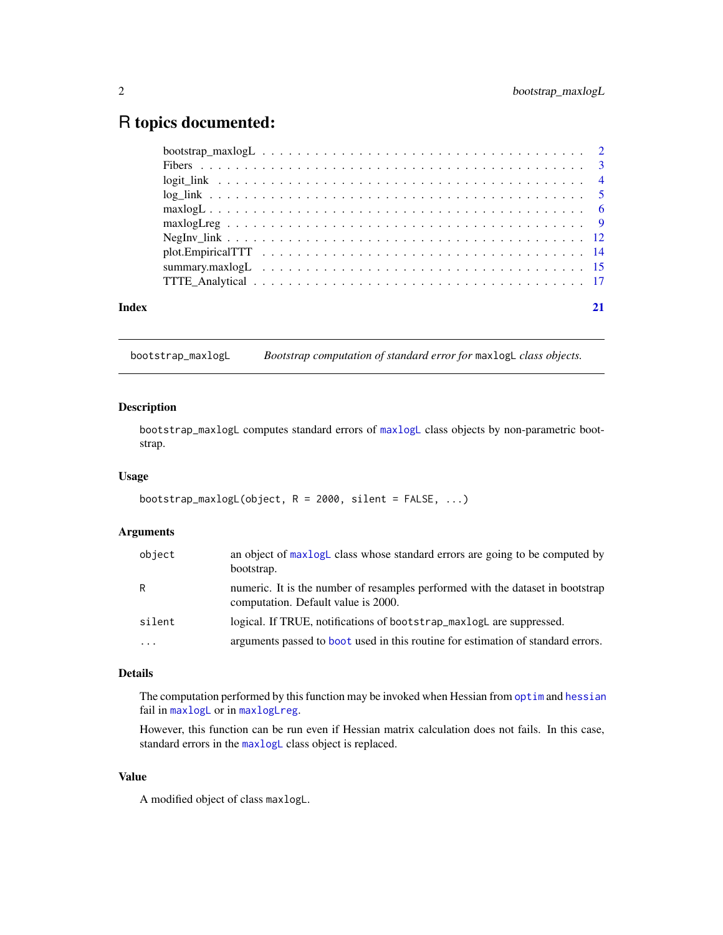### <span id="page-1-0"></span>R topics documented:

|       | Negliv $\lim_{n \to \infty}$ $\lim_{n \to \infty}$ $\lim_{n \to \infty}$ $\lim_{n \to \infty}$ $\lim_{n \to \infty}$ $\lim_{n \to \infty}$ $\lim_{n \to \infty}$ $\lim_{n \to \infty}$ $\lim_{n \to \infty}$ $\lim_{n \to \infty}$ $\lim_{n \to \infty}$ $\lim_{n \to \infty}$ $\lim_{n \to \infty}$ $\lim_{n \to \infty}$ $\lim_{n \to \infty}$ $\lim_{n \to \infty}$ $\lim_{n \$ |  |
|-------|------------------------------------------------------------------------------------------------------------------------------------------------------------------------------------------------------------------------------------------------------------------------------------------------------------------------------------------------------------------------------------|--|
|       |                                                                                                                                                                                                                                                                                                                                                                                    |  |
|       |                                                                                                                                                                                                                                                                                                                                                                                    |  |
|       |                                                                                                                                                                                                                                                                                                                                                                                    |  |
| Index |                                                                                                                                                                                                                                                                                                                                                                                    |  |

<span id="page-1-1"></span>bootstrap\_maxlogL *Bootstrap computation of standard error for* maxlogL *class objects.*

#### Description

bootstrap\_maxlogL computes standard errors of [maxlogL](#page-5-1) class objects by non-parametric bootstrap.

#### Usage

```
bootstrap_maxlogL(object, R = 2000, silent = FALSE, ...)
```
#### Arguments

| object   | an object of maxlogL class whose standard errors are going to be computed by<br>bootstrap.                            |
|----------|-----------------------------------------------------------------------------------------------------------------------|
| R.       | numeric. It is the number of resamples performed with the dataset in bootstrap<br>computation. Default value is 2000. |
| silent   | logical. If TRUE, notifications of bootstrap_maxlogL are suppressed.                                                  |
| $\cdots$ | arguments passed to boot used in this routine for estimation of standard errors.                                      |

#### Details

The computation performed by this function may be invoked when Hessian from [optim](#page-0-0) and [hessian](#page-0-0) fail in [maxlogL](#page-5-1) or in [maxlogLreg](#page-8-1).

However, this function can be run even if Hessian matrix calculation does not fails. In this case, standard errors in the [maxlogL](#page-5-1) class object is replaced.

#### Value

A modified object of class maxlogL.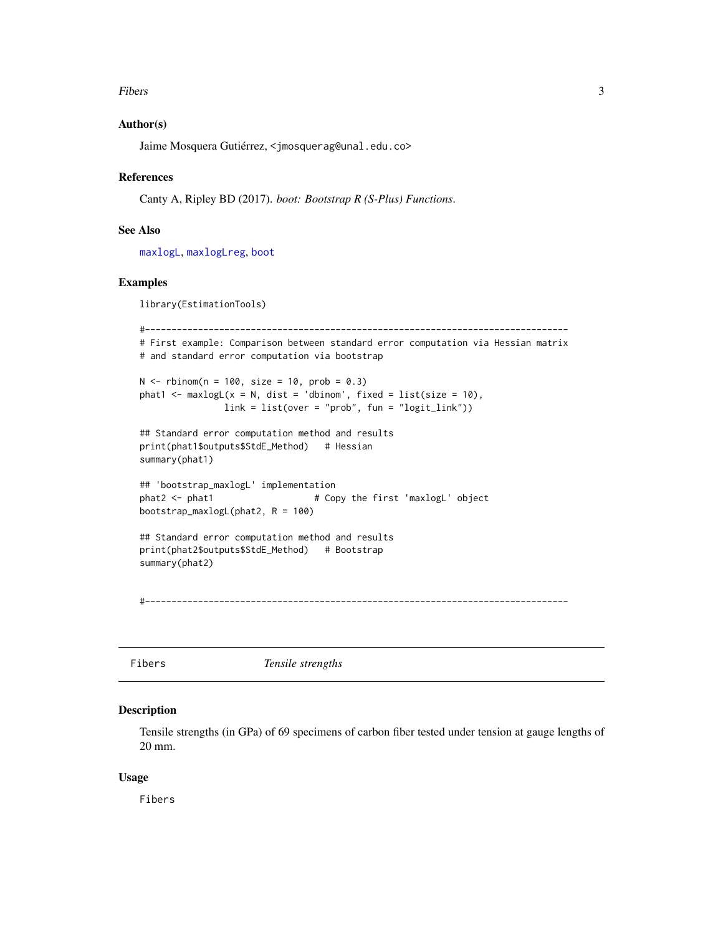#### <span id="page-2-0"></span>Fibers 3 and 3 and 3 and 3 and 3 and 3 and 3 and 3 and 3 and 3 and 3 and 3 and 3 and 3 and 3 and 3 and 3 and 3 and 3 and 3 and 3 and 3 and 3 and 3 and 3 and 3 and 3 and 3 and 3 and 3 and 3 and 3 and 3 and 3 and 3 and 3 and

#### Author(s)

Jaime Mosquera Gutiérrez, <jmosquerag@unal.edu.co>

#### References

Canty A, Ripley BD (2017). *boot: Bootstrap R (S-Plus) Functions*.

#### See Also

[maxlogL](#page-5-1), [maxlogLreg](#page-8-1), [boot](#page-0-0)

#### Examples

library(EstimationTools)

```
#--------------------------------------------------------------------------------
# First example: Comparison between standard error computation via Hessian matrix
# and standard error computation via bootstrap
N < - rbinom(n = 100, size = 10, prob = 0.3)
phat1 <- maxlogL(x = N, dist = 'dbinom', fixed = list(size = 10),
               link = list(over = "prob", fun = "logit\_link"))## Standard error computation method and results
print(phat1$outputs$StdE_Method) # Hessian
summary(phat1)
## 'bootstrap_maxlogL' implementation
phat2 <- phat1 \qquad # Copy the first 'maxlogL' object
bootstrap_maxlogL(phat2, R = 100)
## Standard error computation method and results
print(phat2$outputs$StdE_Method) # Bootstrap
summary(phat2)
#--------------------------------------------------------------------------------
```
Fibers *Tensile strengths*

#### Description

Tensile strengths (in GPa) of 69 specimens of carbon fiber tested under tension at gauge lengths of 20 mm.

#### Usage

Fibers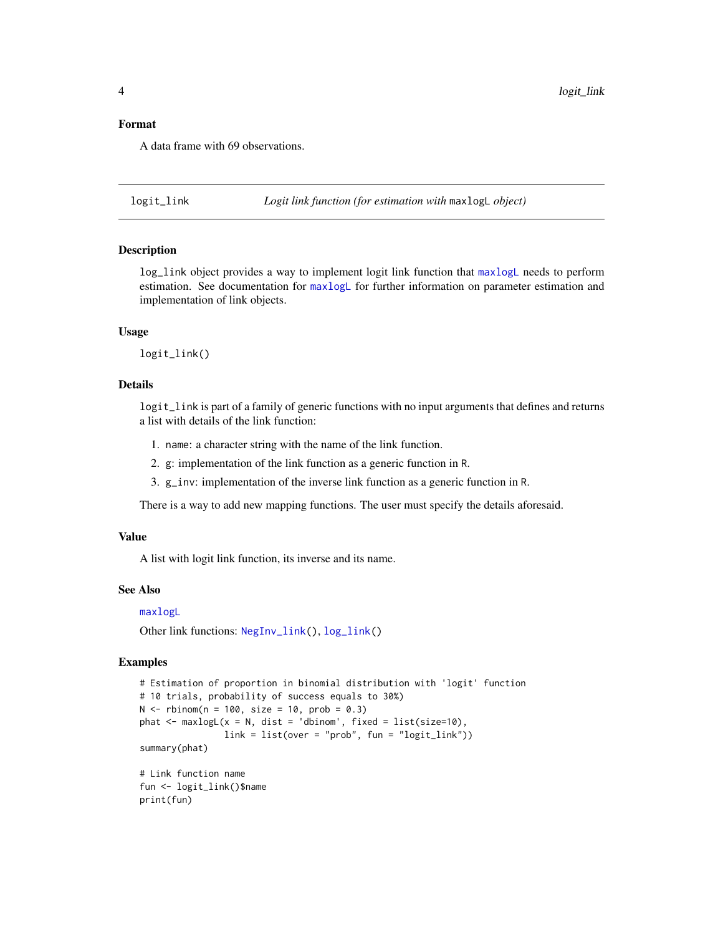#### <span id="page-3-0"></span>Format

A data frame with 69 observations.

<span id="page-3-1"></span>logit\_link *Logit link function (for estimation with* maxlogL *object)*

#### Description

log\_link object provides a way to implement logit link function that [maxlogL](#page-5-1) needs to perform estimation. See documentation for [maxlogL](#page-5-1) for further information on parameter estimation and implementation of link objects.

#### Usage

logit\_link()

#### Details

logit\_link is part of a family of generic functions with no input arguments that defines and returns a list with details of the link function:

- 1. name: a character string with the name of the link function.
- 2. g: implementation of the link function as a generic function in R.
- 3. g\_inv: implementation of the inverse link function as a generic function in R.

There is a way to add new mapping functions. The user must specify the details aforesaid.

#### Value

A list with logit link function, its inverse and its name.

#### See Also

[maxlogL](#page-5-1)

Other link functions: [NegInv\\_link\(](#page-11-1)), [log\\_link\(](#page-4-1))

#### Examples

```
# Estimation of proportion in binomial distribution with 'logit' function
# 10 trials, probability of success equals to 30%)
N < - rbinom(n = 100, size = 10, prob = 0.3)
phat \leq maxlogL(x = N, dist = 'dbinom', fixed = list(size=10),
                link = list(over = "prob", fun = "logit_link"))
summary(phat)
# Link function name
fun <- logit_link()$name
```
print(fun)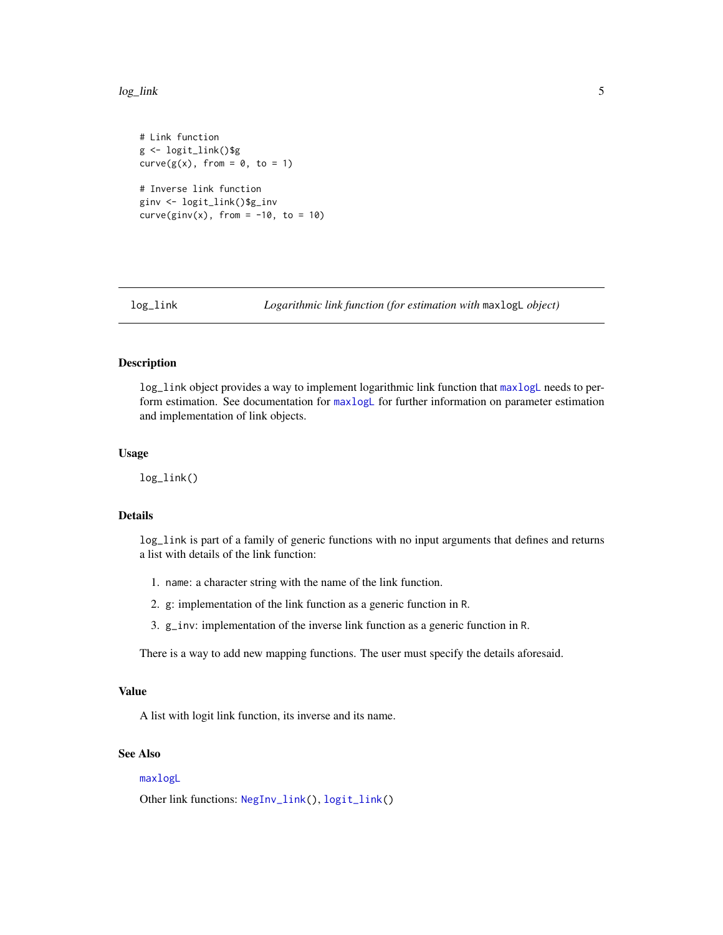#### <span id="page-4-0"></span>log\_link 5

```
# Link function
g <- logit_link()$g
curve(g(x), from = 0, to = 1)# Inverse link function
ginv <- logit_link()$g_inv
curve(ginv(x), from = -10, to = 10)
```
<span id="page-4-1"></span>

log\_link *Logarithmic link function (for estimation with* maxlogL *object)*

#### Description

log\_link object provides a way to implement logarithmic link function that [maxlogL](#page-5-1) needs to perform estimation. See documentation for [maxlogL](#page-5-1) for further information on parameter estimation and implementation of link objects.

#### Usage

log\_link()

#### Details

log\_link is part of a family of generic functions with no input arguments that defines and returns a list with details of the link function:

- 1. name: a character string with the name of the link function.
- 2. g: implementation of the link function as a generic function in R.
- 3. g\_inv: implementation of the inverse link function as a generic function in R.

There is a way to add new mapping functions. The user must specify the details aforesaid.

#### Value

A list with logit link function, its inverse and its name.

#### See Also

#### [maxlogL](#page-5-1)

Other link functions: [NegInv\\_link\(](#page-11-1)), [logit\\_link\(](#page-3-1))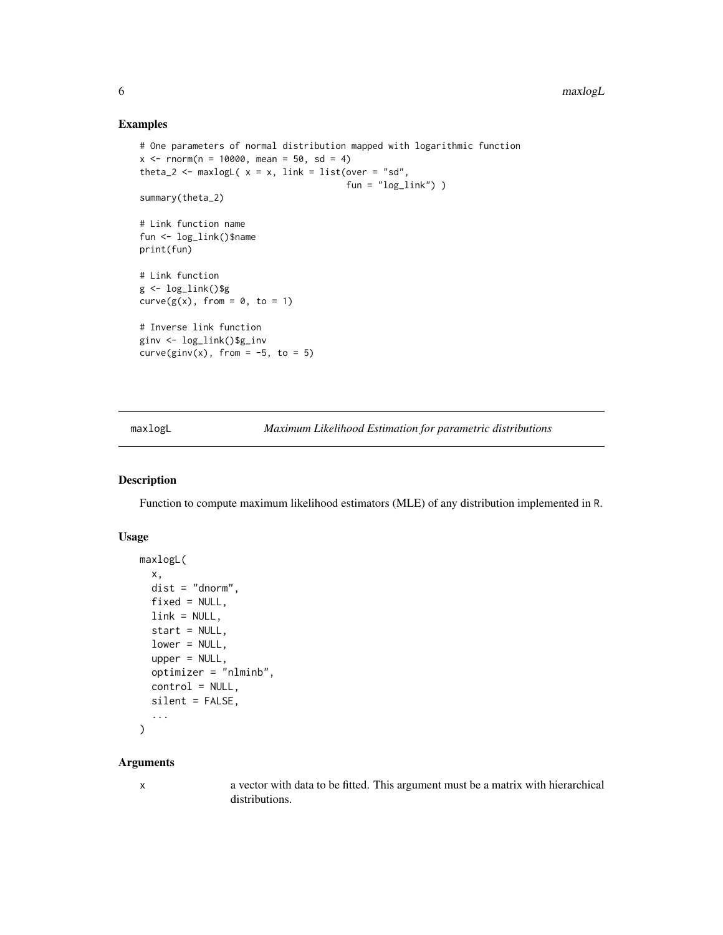#### Examples

```
# One parameters of normal distribution mapped with logarithmic function
x \le - rnorm(n = 10000, mean = 50, sd = 4)
theta_2 <- maxlogL(x = x, link = list(over = "sd",fun = "log\_link") )
summary(theta_2)
# Link function name
fun <- log_link()$name
print(fun)
# Link function
g \leftarrow \log\_link()$g
curve(g(x), from = 0, to = 1)# Inverse link function
ginv <- log_link()$g_inv
curve(ginv(x), from = -5, to = 5)
```
<span id="page-5-1"></span>maxlogL *Maximum Likelihood Estimation for parametric distributions*

#### Description

Function to compute maximum likelihood estimators (MLE) of any distribution implemented in R.

#### Usage

```
maxlogL(
  x,
  dist = "dnorm",
  fixed = NULL,link = NULL,start = NULL,
  lower = NULL,
  upper = NULL,optimizer = "nlminb",
  control = NULL,
  silent = FALSE,
  ...
)
```
#### Arguments

x a vector with data to be fitted. This argument must be a matrix with hierarchical distributions.

<span id="page-5-0"></span>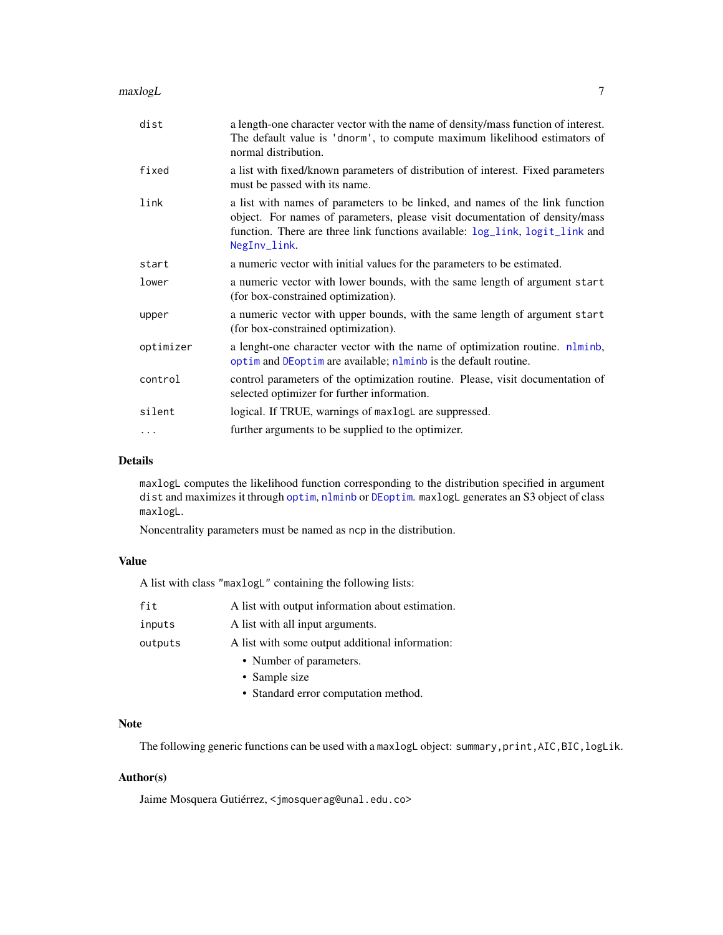#### <span id="page-6-0"></span> $maxlog L$  7

| dist      | a length-one character vector with the name of density/mass function of interest.<br>The default value is 'dnorm', to compute maximum likelihood estimators of<br>normal distribution.                                                                      |
|-----------|-------------------------------------------------------------------------------------------------------------------------------------------------------------------------------------------------------------------------------------------------------------|
| fixed     | a list with fixed/known parameters of distribution of interest. Fixed parameters<br>must be passed with its name.                                                                                                                                           |
| link      | a list with names of parameters to be linked, and names of the link function<br>object. For names of parameters, please visit documentation of density/mass<br>function. There are three link functions available: log_link, logit_link and<br>NegInv_link. |
| start     | a numeric vector with initial values for the parameters to be estimated.                                                                                                                                                                                    |
| lower     | a numeric vector with lower bounds, with the same length of argument start<br>(for box-constrained optimization).                                                                                                                                           |
| upper     | a numeric vector with upper bounds, with the same length of argument start<br>(for box-constrained optimization).                                                                                                                                           |
| optimizer | a lenght-one character vector with the name of optimization routine. nlminb,<br>optim and DE optim are available; nlminb is the default routine.                                                                                                            |
| control   | control parameters of the optimization routine. Please, visit documentation of<br>selected optimizer for further information.                                                                                                                               |
| silent    | logical. If TRUE, warnings of maxlogL are suppressed.                                                                                                                                                                                                       |
| $\cdots$  | further arguments to be supplied to the optimizer.                                                                                                                                                                                                          |

#### Details

maxlogL computes the likelihood function corresponding to the distribution specified in argument dist and maximizes it through [optim](#page-0-0), [nlminb](#page-0-0) or [DEoptim](#page-0-0). maxlogL generates an S3 object of class maxlogL.

Noncentrality parameters must be named as ncp in the distribution.

#### Value

A list with class "maxlogL" containing the following lists:

| fit     | A list with output information about estimation. |
|---------|--------------------------------------------------|
| inputs  | A list with all input arguments.                 |
| outputs | A list with some output additional information:  |
|         | • Number of parameters.                          |
|         | • Sample size                                    |
|         | • Standard error computation method.             |

#### Note

The following generic functions can be used with a maxlogL object: summary, print, AIC, BIC, logLik.

#### Author(s)

Jaime Mosquera Gutiérrez, <jmosquerag@unal.edu.co>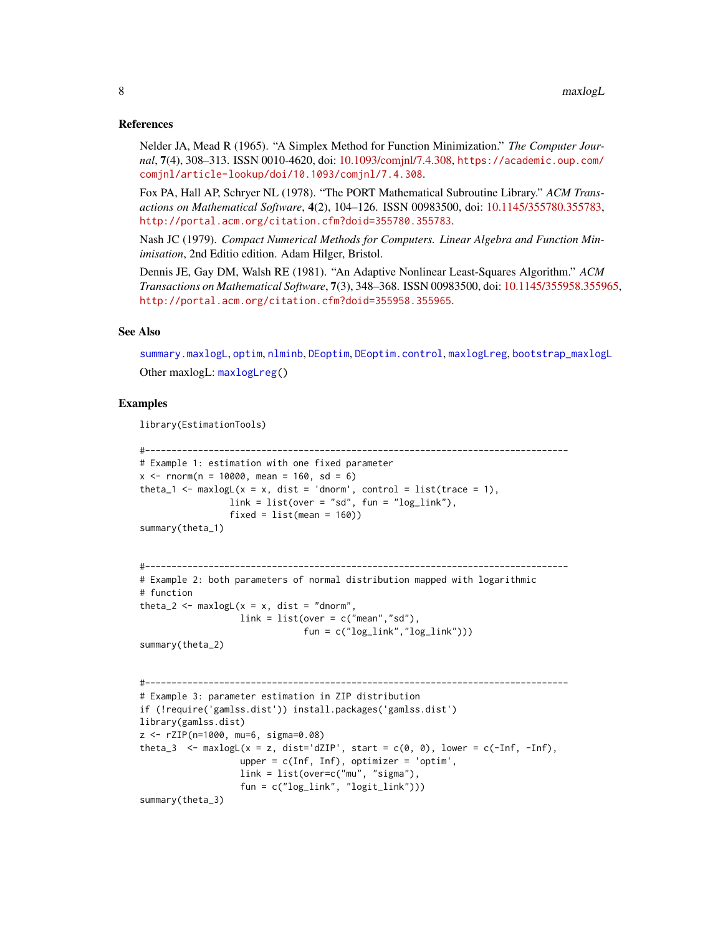#### <span id="page-7-0"></span>References

Nelder JA, Mead R (1965). "A Simplex Method for Function Minimization." *The Computer Journal*, 7(4), 308–313. ISSN 0010-4620, doi: [10.1093/comjnl/7.4.308,](https://doi.org/10.1093/comjnl/7.4.308) [https://academic.oup.com/](https://academic.oup.com/comjnl/article-lookup/doi/10.1093/comjnl/7.4.308) [comjnl/article-lookup/doi/10.1093/comjnl/7.4.308](https://academic.oup.com/comjnl/article-lookup/doi/10.1093/comjnl/7.4.308).

Fox PA, Hall AP, Schryer NL (1978). "The PORT Mathematical Subroutine Library." *ACM Transactions on Mathematical Software*, 4(2), 104–126. ISSN 00983500, doi: [10.1145/355780.355783,](https://doi.org/10.1145/355780.355783) <http://portal.acm.org/citation.cfm?doid=355780.355783>.

Nash JC (1979). *Compact Numerical Methods for Computers. Linear Algebra and Function Minimisation*, 2nd Editio edition. Adam Hilger, Bristol.

Dennis JE, Gay DM, Walsh RE (1981). "An Adaptive Nonlinear Least-Squares Algorithm." *ACM Transactions on Mathematical Software*, 7(3), 348–368. ISSN 00983500, doi: [10.1145/355958.355965,](https://doi.org/10.1145/355958.355965) <http://portal.acm.org/citation.cfm?doid=355958.355965>.

#### See Also

[summary.maxlogL](#page-14-1), [optim](#page-0-0), [nlminb](#page-0-0), [DEoptim](#page-0-0), [DEoptim.control](#page-0-0), [maxlogLreg](#page-8-1), [bootstrap\\_maxlogL](#page-1-1) Other maxlogL: [maxlogLreg\(](#page-8-1))

#### Examples

library(EstimationTools)

```
#--------------------------------------------------------------------------------
# Example 1: estimation with one fixed parameter
x \le - rnorm(n = 10000, mean = 160, sd = 6)
theta_1 <- maxlogL(x = x, dist = 'dnorm', control = list(trace = 1),
                link = list(over = "sd", fun = "log_link"),fixed = list(mean = 160)summary(theta_1)
```

```
#--------------------------------------------------------------------------------
# Example 2: both parameters of normal distribution mapped with logarithmic
# function
theta_2 <- maxlogL(x = x, dist = "dnorm",link = list(over = c("mean", "sd"),
                                fun = c("log\_link", "log\_link"))
```

```
summary(theta_2)
```

```
#--------------------------------------------------------------------------------
# Example 3: parameter estimation in ZIP distribution
if (!require('gamlss.dist')) install.packages('gamlss.dist')
library(gamlss.dist)
z <- rZIP(n=1000, mu=6, sigma=0.08)
theta_3 \leq maxlogL(x = z, dist='dZIP', start = c(0, 0), lower = c(-Inf, -Inf),
                   upper = c(Inf, Inf), optimizer = 'optim',
                   link = list(over=c("mu", "sigma"),
                   fun = c("log_link", "logit_link")))
summary(theta_3)
```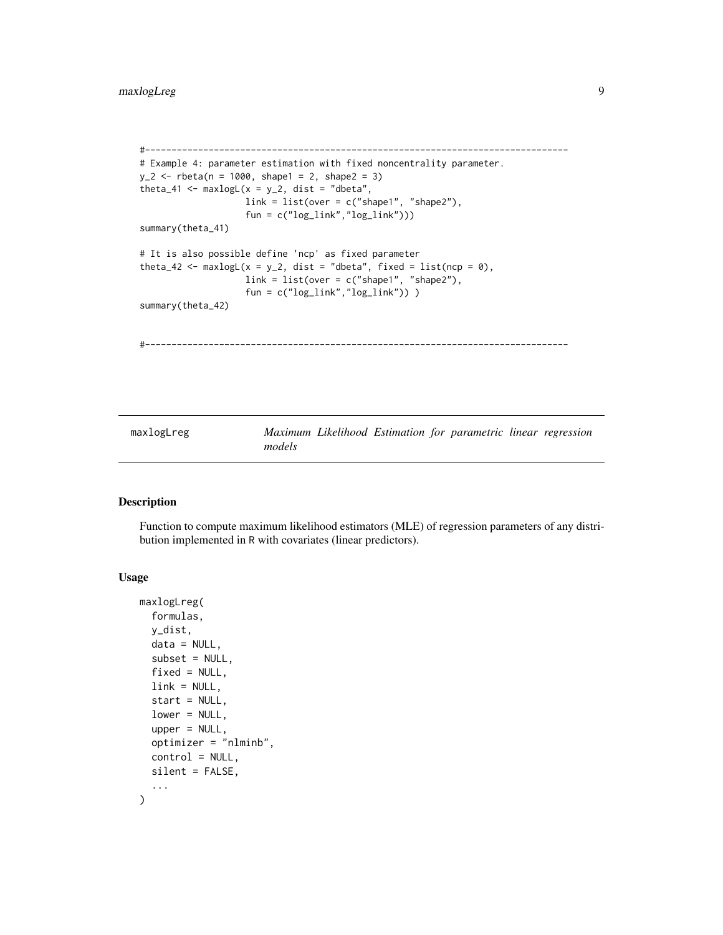```
#--------------------------------------------------------------------------------
# Example 4: parameter estimation with fixed noncentrality parameter.
y_2 < - rbeta(n = 1000, shape1 = 2, shape2 = 3)
theta_41 <- maxlogL(x = y_2, dist = "dbeta",link = list(over = c("shape1", "shape2"),fun = c("log_link","log_link")))
summary(theta_41)
# It is also possible define 'ncp' as fixed parameter
theta_42 <- maxlogL(x = y_2, dist = "dbeta", fixed = list(ncp = 0),link = list(over = c("shape1", "shape2"),
                    fun = c("log_1link", "log_1ink"))
summary(theta_42)
#--------------------------------------------------------------------------------
```
<span id="page-8-1"></span>maxlogLreg *Maximum Likelihood Estimation for parametric linear regression models*

#### Description

Function to compute maximum likelihood estimators (MLE) of regression parameters of any distribution implemented in R with covariates (linear predictors).

#### Usage

```
maxlogLreg(
  formulas,
 y_dist,
 data = NULL,
  subset = NULL,fixed = NULL,link = NULL,start = NULL,lower = NULL,upper = NULL,optimizer = "nlminb",
 control = NULL,silent = FALSE,
  ...
)
```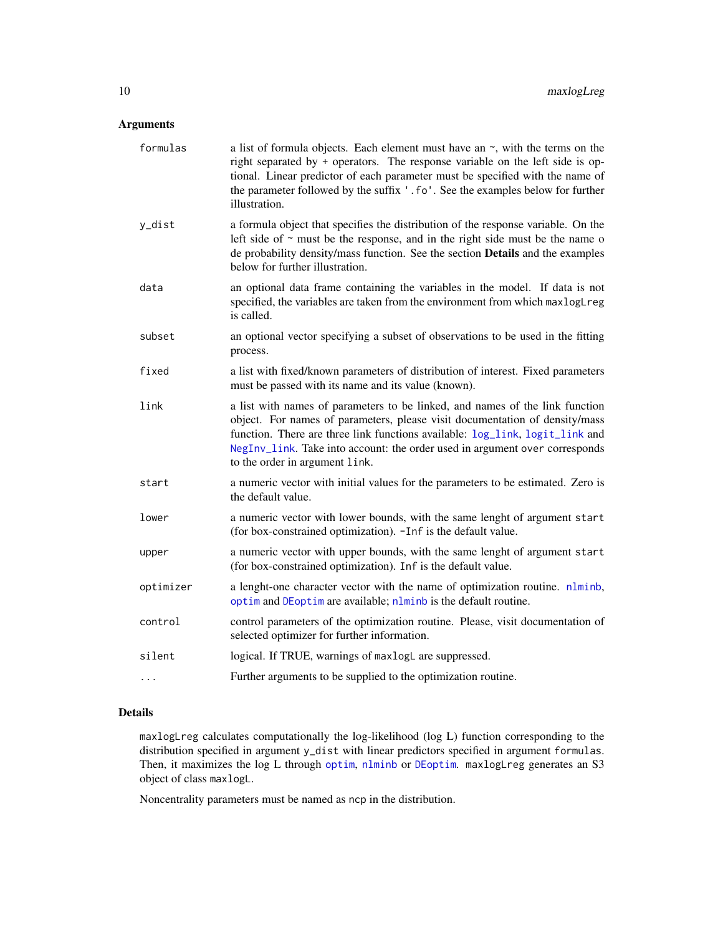#### <span id="page-9-0"></span>Arguments

| formulas  | a list of formula objects. Each element must have an $\sim$ , with the terms on the<br>right separated by + operators. The response variable on the left side is op-<br>tional. Linear predictor of each parameter must be specified with the name of<br>the parameter followed by the suffix '.fo'. See the examples below for further<br>illustration.     |
|-----------|--------------------------------------------------------------------------------------------------------------------------------------------------------------------------------------------------------------------------------------------------------------------------------------------------------------------------------------------------------------|
| y_dist    | a formula object that specifies the distribution of the response variable. On the<br>left side of $\sim$ must be the response, and in the right side must be the name of<br>de probability density/mass function. See the section Details and the examples<br>below for further illustration.                                                                |
| data      | an optional data frame containing the variables in the model. If data is not<br>specified, the variables are taken from the environment from which maxlogLreg<br>is called.                                                                                                                                                                                  |
| subset    | an optional vector specifying a subset of observations to be used in the fitting<br>process.                                                                                                                                                                                                                                                                 |
| fixed     | a list with fixed/known parameters of distribution of interest. Fixed parameters<br>must be passed with its name and its value (known).                                                                                                                                                                                                                      |
| link      | a list with names of parameters to be linked, and names of the link function<br>object. For names of parameters, please visit documentation of density/mass<br>function. There are three link functions available: log_link, logit_link and<br>NegInv_link. Take into account: the order used in argument over corresponds<br>to the order in argument link. |
| start     | a numeric vector with initial values for the parameters to be estimated. Zero is<br>the default value.                                                                                                                                                                                                                                                       |
| lower     | a numeric vector with lower bounds, with the same lenght of argument start<br>(for box-constrained optimization). -Inf is the default value.                                                                                                                                                                                                                 |
| upper     | a numeric vector with upper bounds, with the same lenght of argument start<br>(for box-constrained optimization). Inf is the default value.                                                                                                                                                                                                                  |
| optimizer | a lenght-one character vector with the name of optimization routine. nlminb,<br>optim and DEoptim are available; nlminb is the default routine.                                                                                                                                                                                                              |
| control   | control parameters of the optimization routine. Please, visit documentation of<br>selected optimizer for further information.                                                                                                                                                                                                                                |
| silent    | logical. If TRUE, warnings of maxlogL are suppressed.                                                                                                                                                                                                                                                                                                        |
| .         | Further arguments to be supplied to the optimization routine.                                                                                                                                                                                                                                                                                                |

#### Details

maxlogLreg calculates computationally the log-likelihood (log L) function corresponding to the distribution specified in argument y\_dist with linear predictors specified in argument formulas. Then, it maximizes the log L through [optim](#page-0-0), [nlminb](#page-0-0) or [DEoptim](#page-0-0). maxlogLreg generates an S3 object of class maxlogL.

Noncentrality parameters must be named as ncp in the distribution.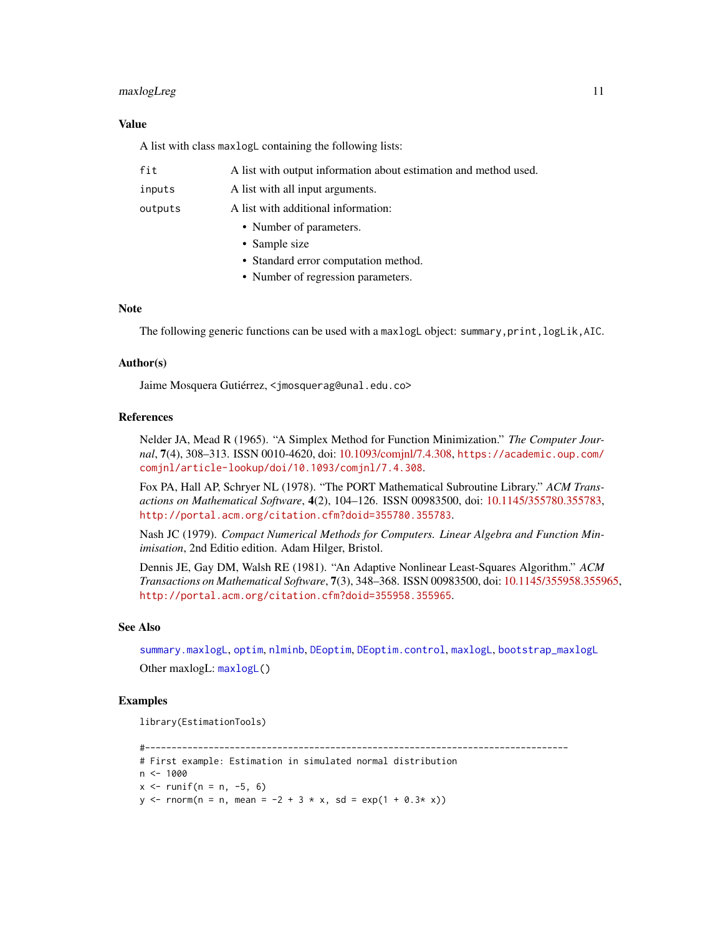#### <span id="page-10-0"></span>maxlogLreg 11

#### Value

A list with class maxlogL containing the following lists:

| fit     | A list with output information about estimation and method used. |
|---------|------------------------------------------------------------------|
| inputs  | A list with all input arguments.                                 |
| outputs | A list with additional information:                              |
|         | • Number of parameters.                                          |
|         | • Sample size                                                    |
|         | • Standard error computation method.                             |
|         | • Number of regression parameters.                               |

#### **Note**

The following generic functions can be used with a maxlogL object: summary, print, logLik, AIC.

#### Author(s)

Jaime Mosquera Gutiérrez, <jmosquerag@unal.edu.co>

#### References

Nelder JA, Mead R (1965). "A Simplex Method for Function Minimization." *The Computer Journal*, 7(4), 308–313. ISSN 0010-4620, doi: [10.1093/comjnl/7.4.308,](https://doi.org/10.1093/comjnl/7.4.308) [https://academic.oup.com/](https://academic.oup.com/comjnl/article-lookup/doi/10.1093/comjnl/7.4.308) [comjnl/article-lookup/doi/10.1093/comjnl/7.4.308](https://academic.oup.com/comjnl/article-lookup/doi/10.1093/comjnl/7.4.308).

Fox PA, Hall AP, Schryer NL (1978). "The PORT Mathematical Subroutine Library." *ACM Transactions on Mathematical Software*, 4(2), 104–126. ISSN 00983500, doi: [10.1145/355780.355783,](https://doi.org/10.1145/355780.355783) <http://portal.acm.org/citation.cfm?doid=355780.355783>.

Nash JC (1979). *Compact Numerical Methods for Computers. Linear Algebra and Function Minimisation*, 2nd Editio edition. Adam Hilger, Bristol.

Dennis JE, Gay DM, Walsh RE (1981). "An Adaptive Nonlinear Least-Squares Algorithm." *ACM Transactions on Mathematical Software*, 7(3), 348–368. ISSN 00983500, doi: [10.1145/355958.355965,](https://doi.org/10.1145/355958.355965) <http://portal.acm.org/citation.cfm?doid=355958.355965>.

#### See Also

[summary.maxlogL](#page-14-1), [optim](#page-0-0), [nlminb](#page-0-0), [DEoptim](#page-0-0), [DEoptim.control](#page-0-0), [maxlogL](#page-5-1), [bootstrap\\_maxlogL](#page-1-1) Other maxlogL: [maxlogL\(](#page-5-1))

#### Examples

```
library(EstimationTools)
```

```
#--------------------------------------------------------------------------------
# First example: Estimation in simulated normal distribution
n < -1000x \le -r runif(n = n, -5, 6)
y \le - rnorm(n = n, mean = -2 + 3 * x, sd = exp(1 + 0.3* x))
```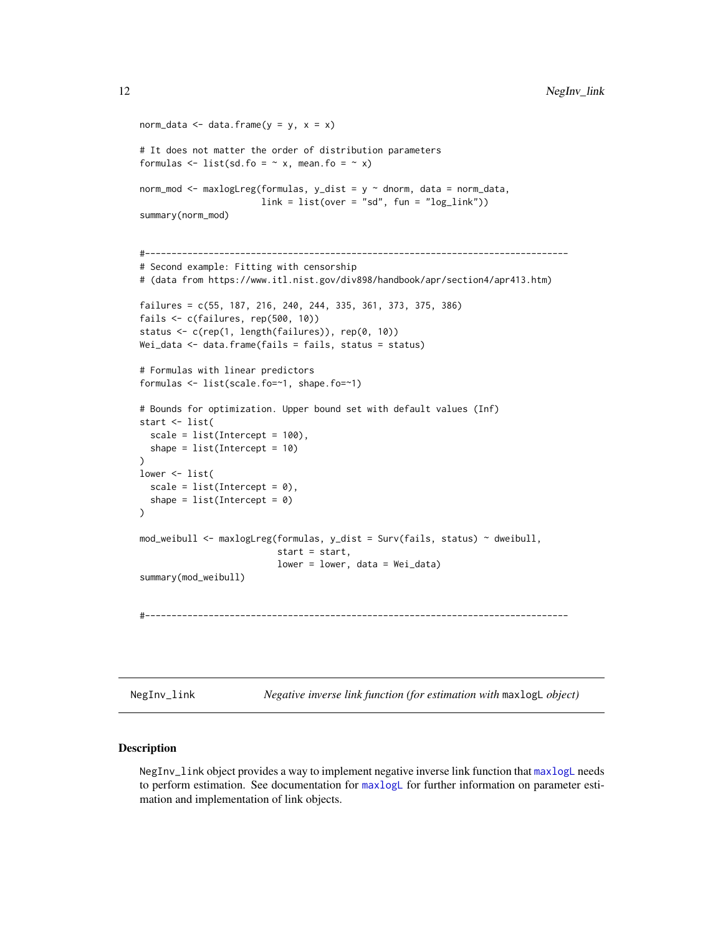```
norm_data <- data.frame(y = y, x = x)
# It does not matter the order of distribution parameters
formulas \le list(sd.fo = \sim x, mean.fo = \sim x)
norm_mod <- maxlogLreg(formulas, y_dist = y \sim dnorm, data = norm_data,
                       link = list(over = "sd", fun = "log_link"))summary(norm_mod)
#--------------------------------------------------------------------------------
# Second example: Fitting with censorship
# (data from https://www.itl.nist.gov/div898/handbook/apr/section4/apr413.htm)
failures = c(55, 187, 216, 240, 244, 335, 361, 373, 375, 386)
fails <- c(failures, rep(500, 10))
status <- c(rep(1, length(failures)), rep(0, 10))
Wei_data <- data.frame(fails = fails, status = status)
# Formulas with linear predictors
formulas <- list(scale.fo=~1, shape.fo=~1)
# Bounds for optimization. Upper bound set with default values (Inf)
start <- list(
  scale = list(Intercept = 100),
  shape = list(Intercept = 10)\lambdalower <- list(
  scale = list(Intercept = 0),
  shape = list(Intercept = 0))
mod_weibull <- maxlogLreg(formulas, y_dist = Surv(fails, status) ~ dweibull,
                          start = start,
                          lower = lower, data = Wei_data)
summary(mod_weibull)
#--------------------------------------------------------------------------------
```
<span id="page-11-1"></span>

NegInv\_link *Negative inverse link function (for estimation with* maxlogL *object)*

#### **Description**

NegInv\_link object provides a way to implement negative inverse link function that [maxlogL](#page-5-1) needs to perform estimation. See documentation for [maxlogL](#page-5-1) for further information on parameter estimation and implementation of link objects.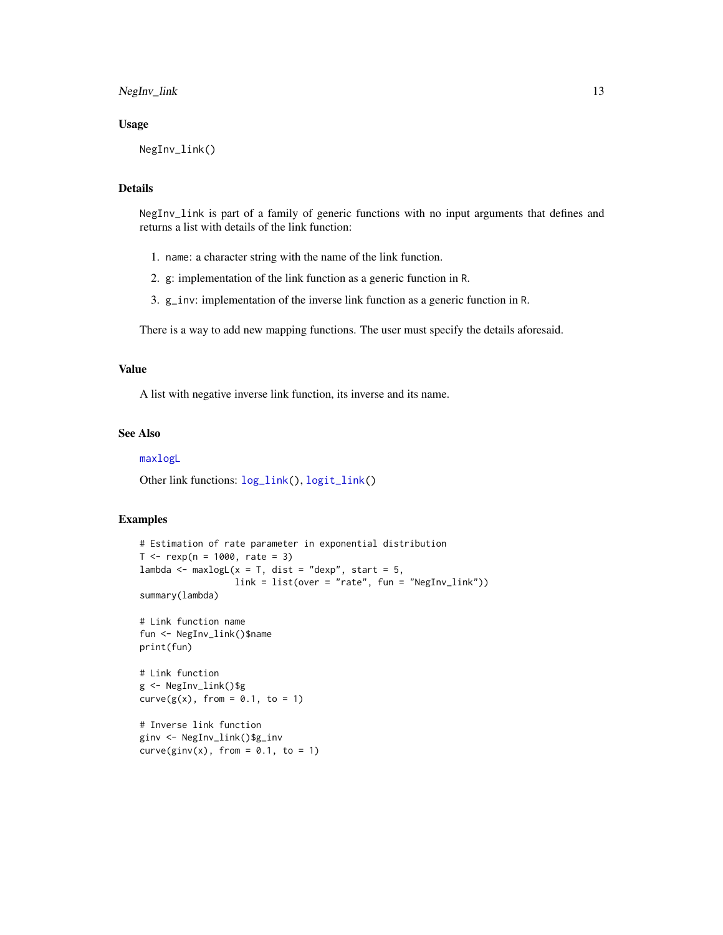<span id="page-12-0"></span>NegInv\_link 13

#### Usage

NegInv\_link()

#### Details

NegInv\_link is part of a family of generic functions with no input arguments that defines and returns a list with details of the link function:

- 1. name: a character string with the name of the link function.
- 2. g: implementation of the link function as a generic function in R.
- 3. g\_inv: implementation of the inverse link function as a generic function in R.

There is a way to add new mapping functions. The user must specify the details aforesaid.

#### Value

A list with negative inverse link function, its inverse and its name.

#### See Also

#### [maxlogL](#page-5-1)

Other link functions: [log\\_link\(](#page-4-1)), [logit\\_link\(](#page-3-1))

#### Examples

```
# Estimation of rate parameter in exponential distribution
T < - rexp(n = 1000, rate = 3)
lambda \leq maxlogL(x = T, dist = "dexp", start = 5,
                  link = list(over = "rate", fun = "NegInv_link"))
summary(lambda)
# Link function name
fun <- NegInv_link()$name
print(fun)
# Link function
g <- NegInv_link()$g
curve(g(x), from = 0.1, to = 1)
# Inverse link function
ginv <- NegInv_link()$g_inv
curve(ginv(x), from = 0.1, to = 1)
```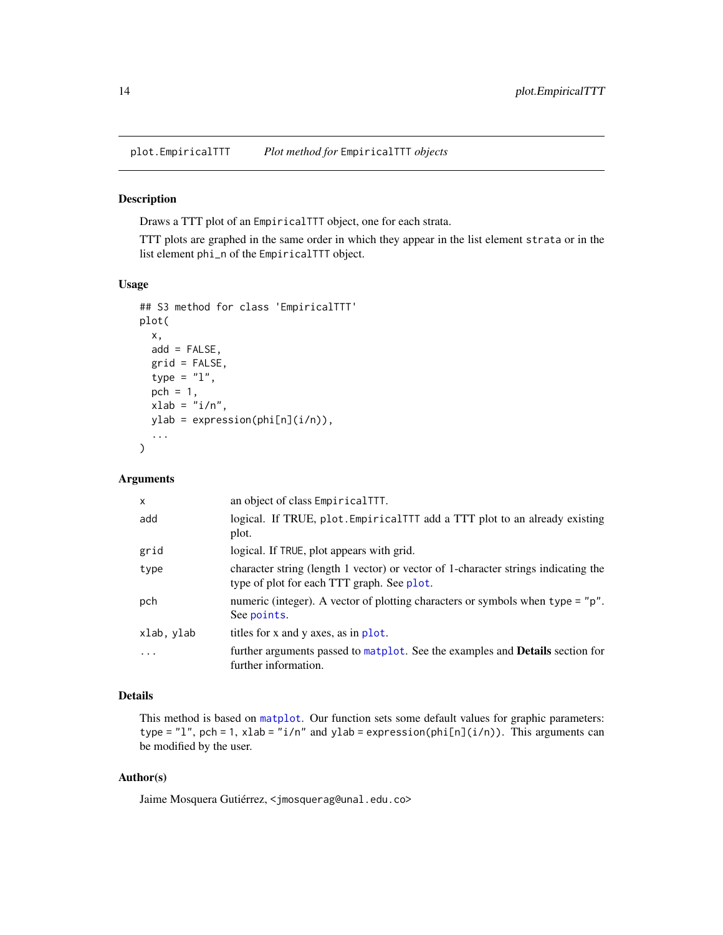<span id="page-13-1"></span><span id="page-13-0"></span>plot.EmpiricalTTT *Plot method for* EmpiricalTTT *objects*

#### Description

Draws a TTT plot of an EmpiricalTTT object, one for each strata.

TTT plots are graphed in the same order in which they appear in the list element strata or in the list element phi\_n of the EmpiricalTTT object.

#### Usage

```
## S3 method for class 'EmpiricalTTT'
plot(
  x,
  add = FALSE,grid = FALSE,
  type = "1",pch = 1,
  xlab = "i/n",
 ylab = expression(phi[n](i/n)),
  ...
\mathcal{L}
```
#### Arguments

| $\mathsf{x}$ | an object of class EmpiricalTTT.                                                                                                 |
|--------------|----------------------------------------------------------------------------------------------------------------------------------|
| add          | logical. If TRUE, plot. Empirical TTT add a TTT plot to an already existing<br>plot.                                             |
| grid         | logical. If TRUE, plot appears with grid.                                                                                        |
| type         | character string (length 1 vector) or vector of 1-character strings indicating the<br>type of plot for each TTT graph. See plot. |
| pch          | numeric (integer). A vector of plotting characters or symbols when type = "p".<br>See points.                                    |
| xlab, ylab   | titles for x and y axes, as in plot.                                                                                             |
| $\cdots$     | further arguments passed to matplot. See the examples and <b>Details</b> section for<br>further information.                     |

#### Details

This method is based on [matplot](#page-0-0). Our function sets some default values for graphic parameters: type = "1", pch = 1, xlab = "i/n" and ylab = expression(phi[n](i/n)). This arguments can be modified by the user.

#### Author(s)

Jaime Mosquera Gutiérrez, <jmosquerag@unal.edu.co>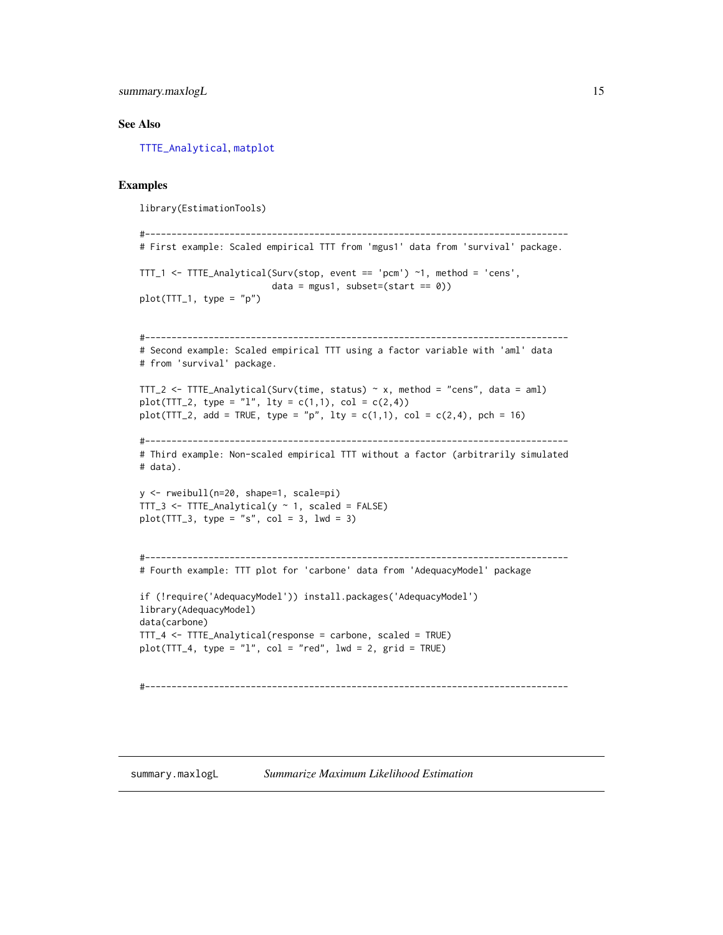<span id="page-14-0"></span>summary.maxlogL 15

#### See Also

[TTTE\\_Analytical](#page-16-1), [matplot](#page-0-0)

#### Examples

library(EstimationTools)

```
#--------------------------------------------------------------------------------
# First example: Scaled empirical TTT from 'mgus1' data from 'survival' package.
TTT_1 <- TTTE_Analytical(Surv(stop, event == 'pcm') ~1, method = 'cens',
                        data = mgus1, subset=(start == 0))
plot(TTT_1, type = "p")#--------------------------------------------------------------------------------
# Second example: Scaled empirical TTT using a factor variable with 'aml' data
# from 'survival' package.
TTT_2 <- TTTE_Analytical(Surv(time, status) ~ x, method = "cens", data = aml)
plot(TTT_2, type = "l", lty = c(1,1), col = c(2,4))plot(TTT_2, add = TRUE, type = "p", lty = c(1,1), col = c(2,4), pch = 16)
#--------------------------------------------------------------------------------
# Third example: Non-scaled empirical TTT without a factor (arbitrarily simulated
# data).
y <- rweibull(n=20, shape=1, scale=pi)
TTT_3 <- TTTE_Analytical(y ~ 1, scaled = FALSE)
plot(TTT_3, type = "s", col = 3, lwd = 3)#--------------------------------------------------------------------------------
# Fourth example: TTT plot for 'carbone' data from 'AdequacyModel' package
if (!require('AdequacyModel')) install.packages('AdequacyModel')
library(AdequacyModel)
data(carbone)
TTT_4 <- TTTE_Analytical(response = carbone, scaled = TRUE)
plot(TTT_4, type = "l", col = "red", lwd = 2, grid = TRUE)#--------------------------------------------------------------------------------
```
<span id="page-14-1"></span>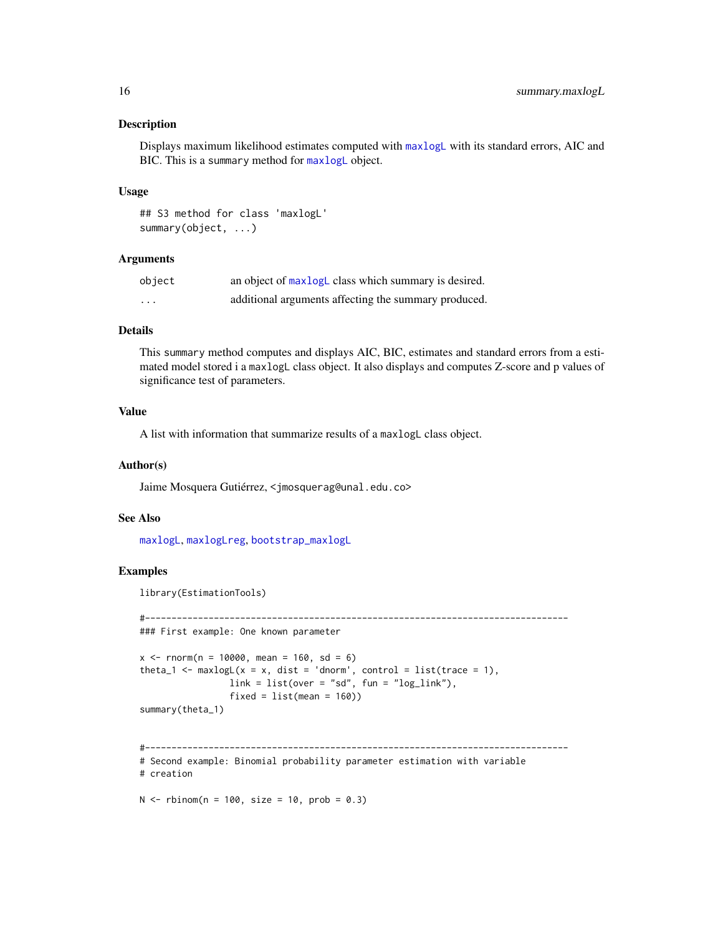#### <span id="page-15-0"></span>Description

Displays maximum likelihood estimates computed with [maxlogL](#page-5-1) with its standard errors, AIC and BIC. This is a summary method for [maxlogL](#page-5-1) object.

#### Usage

```
## S3 method for class 'maxlogL'
summary(object, ...)
```
#### Arguments

| object  | an object of maxlogL class which summary is desired. |
|---------|------------------------------------------------------|
| $\cdot$ | additional arguments affecting the summary produced. |

#### Details

This summary method computes and displays AIC, BIC, estimates and standard errors from a estimated model stored i a maxlogL class object. It also displays and computes Z-score and p values of significance test of parameters.

#### Value

A list with information that summarize results of a maxlogL class object.

#### Author(s)

Jaime Mosquera Gutiérrez, <jmosquerag@unal.edu.co>

#### See Also

[maxlogL](#page-5-1), [maxlogLreg](#page-8-1), [bootstrap\\_maxlogL](#page-1-1)

#### Examples

library(EstimationTools)

#--------------------------------------------------------------------------------

```
### First example: One known parameter
```

```
x \le - rnorm(n = 10000, mean = 160, sd = 6)
theta_1 <- maxlogL(x = x, dist = 'dnorm', control = list(trace = 1),
                 link = list(over = "sd", fun = "log_link"),fixed = list(mean = 160)summary(theta_1)
```

```
#--------------------------------------------------------------------------------
# Second example: Binomial probability parameter estimation with variable
# creation
```
 $N < -$  rbinom(n = 100, size = 10, prob = 0.3)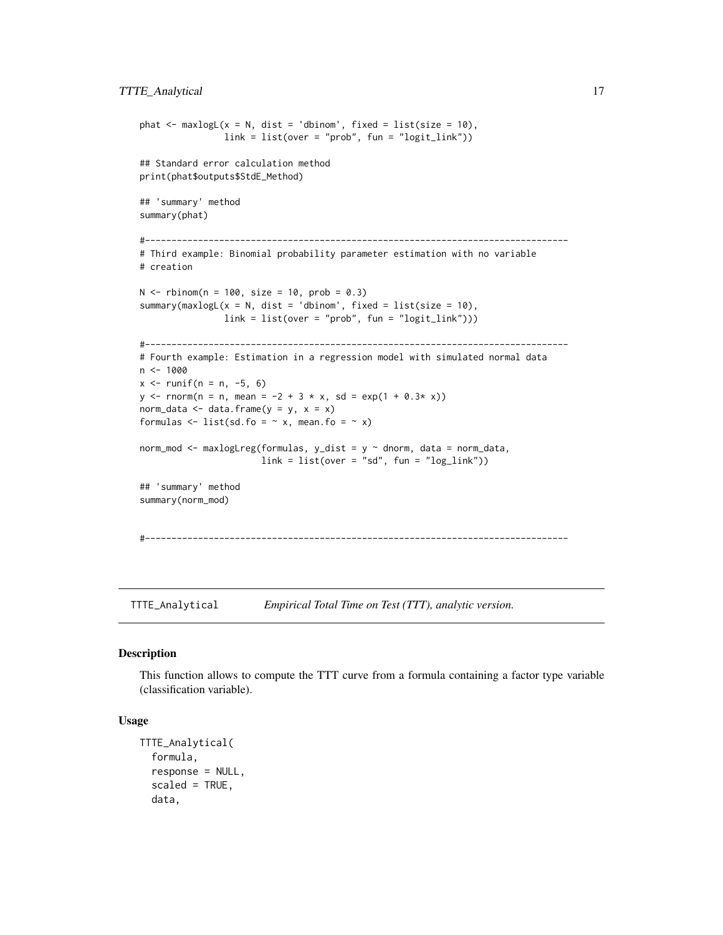```
phat \leq maxlogL(x = N, dist = 'dbinom', fixed = list(size = 10),
                link = list(over = "prob", fun = "logit\_link"))## Standard error calculation method
print(phat$outputs$StdE_Method)
## 'summary' method
summary(phat)
#--------------------------------------------------------------------------------
# Third example: Binomial probability parameter estimation with no variable
# creation
N < - rbinom(n = 100, size = 10, prob = 0.3)
summary(maxlogL(x = N, dist = 'dbinom', fixed = list(size = 10),
               link = list(over = "prob", fun = "logit_link")))
#--------------------------------------------------------------------------------
# Fourth example: Estimation in a regression model with simulated normal data
n <- 1000
x \le runif(n = n, -5, 6)
y \le - rnorm(n = n, mean = -2 + 3 * x, sd = exp(1 + 0.3* x))
norm_data <- data.frame(y = y, x = x)
formulas \le list(sd.fo = \sim x, mean.fo = \sim x)
norm_mod <- maxlogLreg(formulas, y_dist = y ~ dnorm, data = norm_data,
                       link = list(over = "sd", fun = "log_link"))## 'summary' method
summary(norm_mod)
#--------------------------------------------------------------------------------
```
<span id="page-16-1"></span>TTTE\_Analytical *Empirical Total Time on Test (TTT), analytic version.*

#### Description

This function allows to compute the TTT curve from a formula containing a factor type variable (classification variable).

#### Usage

```
TTTE_Analytical(
  formula,
  response = NULL,
  scaled = TRUE,
  data,
```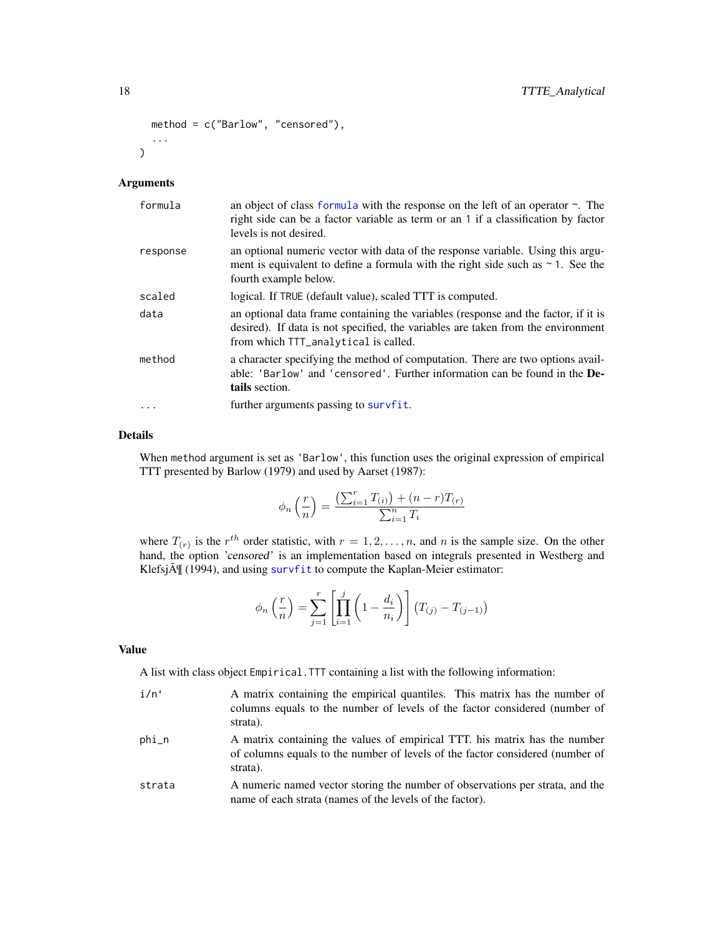```
method = c("Barlow", "censored"),
  ...
)
```
#### Arguments

| formula   | an object of class formula with the response on the left of an operator $\sim$ . The<br>right side can be a factor variable as term or an 1 if a classification by factor<br>levels is not desired.            |
|-----------|----------------------------------------------------------------------------------------------------------------------------------------------------------------------------------------------------------------|
| response  | an optional numeric vector with data of the response variable. Using this argu-<br>ment is equivalent to define a formula with the right side such as $\sim$ 1. See the<br>fourth example below.               |
| scaled    | logical. If TRUE (default value), scaled TTT is computed.                                                                                                                                                      |
| data      | an optional data frame containing the variables (response and the factor, if it is<br>desired). If data is not specified, the variables are taken from the environment<br>from which TTT_analytical is called. |
| method    | a character specifying the method of computation. There are two options avail-<br>able: 'Barlow' and 'censored'. Further information can be found in the De-<br>tails section.                                 |
| $\ddotsc$ | further arguments passing to survfit.                                                                                                                                                                          |

#### Details

When method argument is set as 'Barlow', this function uses the original expression of empirical TTT presented by Barlow (1979) and used by Aarset (1987):

$$
\phi_n\left(\frac{r}{n}\right) = \frac{\left(\sum_{i=1}^r T_{(i)}\right) + (n-r)T_{(r)}}{\sum_{i=1}^n T_i}
$$

where  $T(r)$  is the  $r^{th}$  order statistic, with  $r = 1, 2, ..., n$ , and n is the sample size. On the other hand, the option 'censored' is an implementation based on integrals presented in Westberg and Klefsj $\tilde{A}$  (1994), and using [survfit](#page-0-0) to compute the Kaplan-Meier estimator:

$$
\phi_n\left(\frac{r}{n}\right) = \sum_{j=1}^r \left[ \prod_{i=1}^j \left(1 - \frac{d_i}{n_i}\right) \right] \left( T_{(j)} - T_{(j-1)} \right)
$$

#### Value

A list with class object Empirical.TTT containing a list with the following information:

- i/n' A matrix containing the empirical quantiles. This matrix has the number of columns equals to the number of levels of the factor considered (number of strata).
- phi\_n A matrix containing the values of empirical TTT. his matrix has the number of columns equals to the number of levels of the factor considered (number of strata).
- strata A numeric named vector storing the number of observations per strata, and the name of each strata (names of the levels of the factor).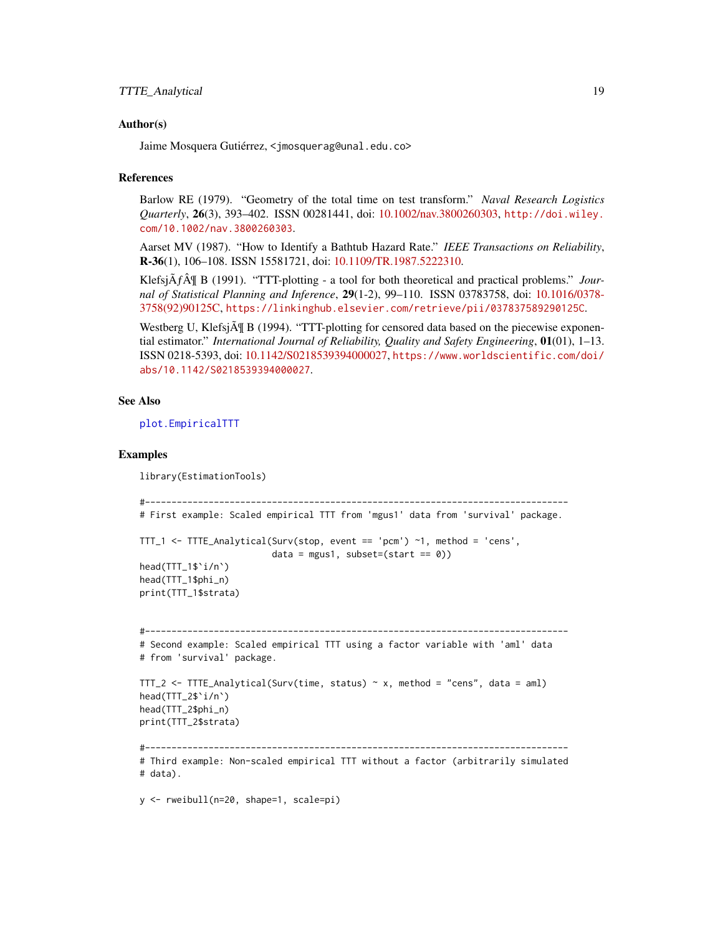#### <span id="page-18-0"></span>Author(s)

Jaime Mosquera Gutiérrez, <jmosquerag@unal.edu.co>

#### References

Barlow RE (1979). "Geometry of the total time on test transform." *Naval Research Logistics Quarterly*, 26(3), 393–402. ISSN 00281441, doi: [10.1002/nav.3800260303,](https://doi.org/10.1002/nav.3800260303) [http://doi.wiley.](http://doi.wiley.com/10.1002/nav.3800260303) [com/10.1002/nav.3800260303](http://doi.wiley.com/10.1002/nav.3800260303).

Aarset MV (1987). "How to Identify a Bathtub Hazard Rate." *IEEE Transactions on Reliability*, R-36(1), 106–108. ISSN 15581721, doi: [10.1109/TR.1987.5222310.](https://doi.org/10.1109/TR.1987.5222310)

Klefsj $\tilde{A}f\tilde{A}$  B (1991). "TTT-plotting - a tool for both theoretical and practical problems." *Journal of Statistical Planning and Inference*, 29(1-2), 99–110. ISSN 03783758, doi: [10.1016/0378-](https://doi.org/10.1016/0378-3758(92)90125-C) [3758\(92\)90125C,](https://doi.org/10.1016/0378-3758(92)90125-C) <https://linkinghub.elsevier.com/retrieve/pii/037837589290125C>.

Westberg U, Klefsj $\tilde{A}$  B (1994). "TTT-plotting for censored data based on the piecewise exponential estimator." *International Journal of Reliability, Quality and Safety Engineering*, 01(01), 1–13. ISSN 0218-5393, doi: [10.1142/S0218539394000027,](https://doi.org/10.1142/S0218539394000027) [https://www.worldscientific.com/doi/](https://www.worldscientific.com/doi/abs/10.1142/S0218539394000027) [abs/10.1142/S0218539394000027](https://www.worldscientific.com/doi/abs/10.1142/S0218539394000027).

#### See Also

#### [plot.EmpiricalTTT](#page-13-1)

#### Examples

```
library(EstimationTools)
```

```
#--------------------------------------------------------------------------------
# First example: Scaled empirical TTT from 'mgus1' data from 'survival' package.
TTT_1 <- TTTE_Analytical(Surv(stop, event == 'pcm') ~1, method = 'cens',
                         data = mgus1, subset=(start == 0)head(TTT_1$`i/n`)
head(TTT_1$phi_n)
print(TTT_1$strata)
#--------------------------------------------------------------------------------
# Second example: Scaled empirical TTT using a factor variable with 'aml' data
# from 'survival' package.
TTT_2 <- TTTE_Analytical(Surv(time, status) \sim x, method = "cens", data = aml)
head(TTT_2$`i/n`)
head(TTT_2$phi_n)
print(TTT_2$strata)
#--------------------------------------------------------------------------------
# Third example: Non-scaled empirical TTT without a factor (arbitrarily simulated
# data).
```
y <- rweibull(n=20, shape=1, scale=pi)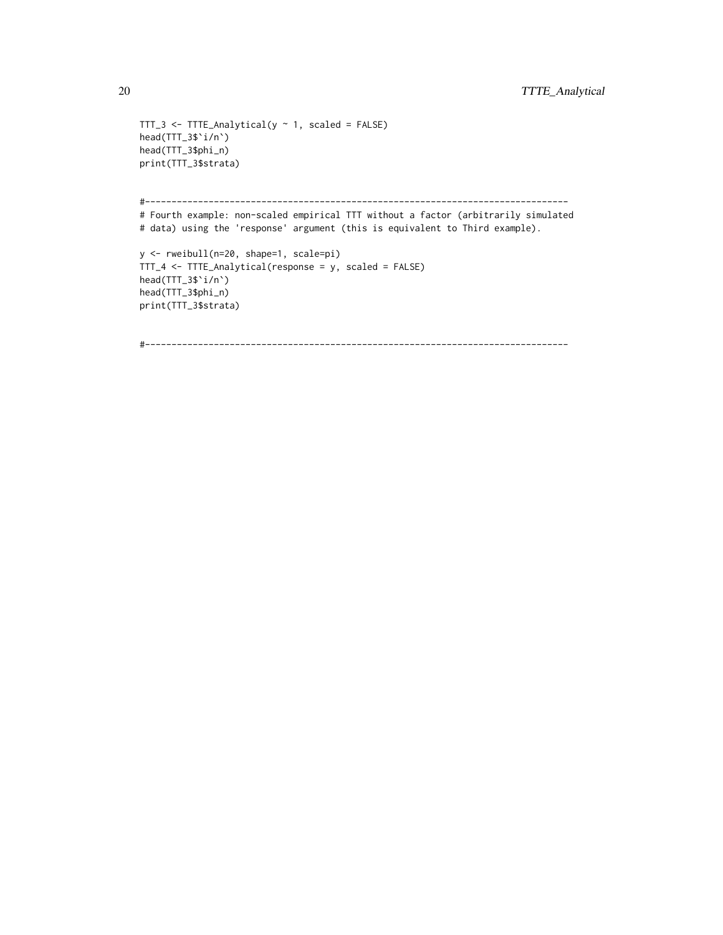```
TTT_3 \leftarrow TITE\_Analytical(y \sim 1, scaled = FALSE)head(TTT_3$`i/n`)
head(TTT_3$phi_n)
print(TTT_3$strata)
#--------------------------------------------------------------------------------
# Fourth example: non-scaled empirical TTT without a factor (arbitrarily simulated
# data) using the 'response' argument (this is equivalent to Third example).
y <- rweibull(n=20, shape=1, scale=pi)
TTT_4 <- TTTE_Analytical(response = y, scaled = FALSE)
head(TTT_3$`i/n`)
head(TTT_3$phi_n)
print(TTT_3$strata)
```

```
#--------------------------------------------------------------------------------
```